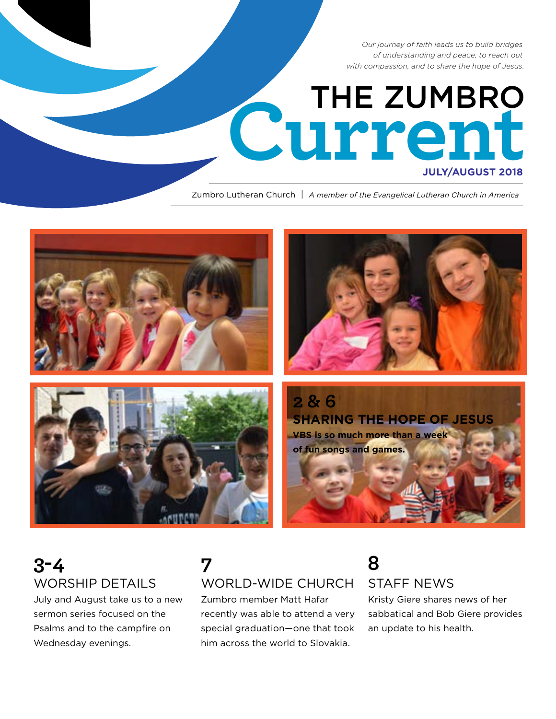*Our journey of faith leads us to build bridges of understanding and peace, to reach out with compassion, and to share the hope of Jesus.*

# Current

Zumbro Lutheran Church | *A member of the Evangelical Lutheran Church in America*



# **3-4** WORSHIP DETAILS

July and August take us to a new sermon series focused on the Psalms and to the campfire on Wednesday evenings.

# **7** WORLD-WIDE CHURCH

Zumbro member Matt Hafar recently was able to attend a very special graduation—one that took him across the world to Slovakia.

# **8** STAFF NEWS

Kristy Giere shares news of her sabbatical and Bob Giere provides an update to his health.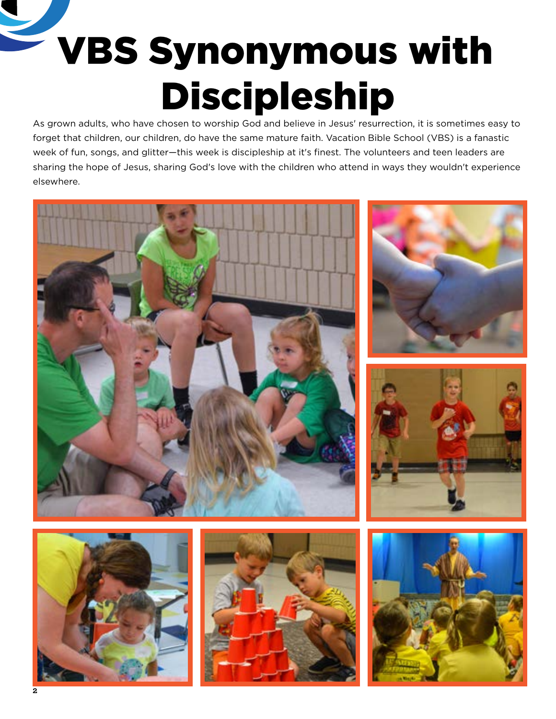# VBS Synonymous with Discipleship

As grown adults, who have chosen to worship God and believe in Jesus' resurrection, it is sometimes easy to forget that children, our children, do have the same mature faith. Vacation Bible School (VBS) is a fanastic week of fun, songs, and glitter—this week is discipleship at it's finest. The volunteers and teen leaders are sharing the hope of Jesus, sharing God's love with the children who attend in ways they wouldn't experience elsewhere.







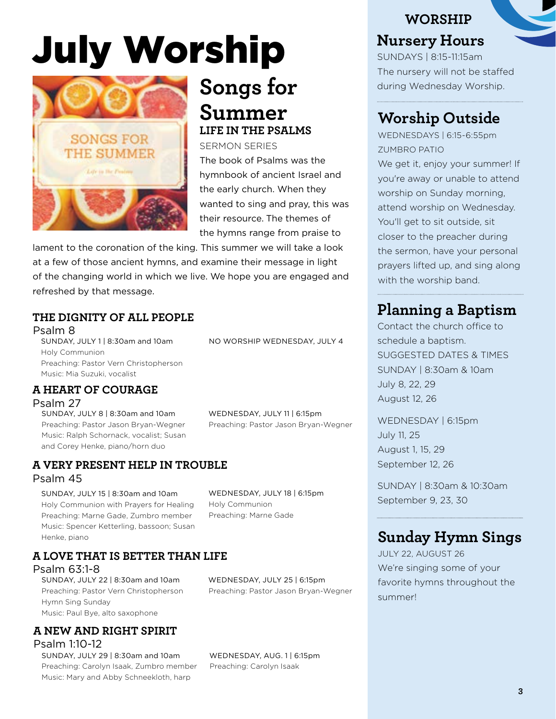# July Worship



# **Songs for Summer LIFE IN THE PSALMS**

SERMON SERIES The book of Psalms was the hymnbook of ancient Israel and the early church. When they wanted to sing and pray, this was their resource. The themes of the hymns range from praise to

NO WORSHIP WEDNESDAY, JULY 4

lament to the coronation of the king. This summer we will take a look at a few of those ancient hymns, and examine their message in light of the changing world in which we live. We hope you are engaged and refreshed by that message.

#### **THE DIGNITY OF ALL PEOPLE** Psalm 8

SUNDAY, JULY 1 | 8:30am and 10am Holy Communion Preaching: Pastor Vern Christopherson Music: Mia Suzuki, vocalist

#### **A HEART OF COURAGE**

Psalm 27

SUNDAY, JULY 8 | 8:30am and 10am Preaching: Pastor Jason Bryan-Wegner Music: Ralph Schornack, vocalist; Susan and Corey Henke, piano/horn duo

**A VERY PRESENT HELP IN TROUBLE**

#### Psalm 45

SUNDAY, JULY 15 | 8:30am and 10am Holy Communion with Prayers for Healing Preaching: Marne Gade, Zumbro member Music: Spencer Ketterling, bassoon; Susan Henke, piano

WEDNESDAY, JULY 18 | 6:15pm Holy Communion Preaching: Marne Gade

WEDNESDAY, JULY 11 | 6:15pm

Preaching: Pastor Jason Bryan-Wegner

#### **A LOVE THAT IS BETTER THAN LIFE**

Psalm 63:1-8

SUNDAY, JULY 22 | 8:30am and 10am Preaching: Pastor Vern Christopherson Hymn Sing Sunday Music: Paul Bye, alto saxophone

#### **A NEW AND RIGHT SPIRIT** Psalm 1:10-12

SUNDAY, JULY 29 | 8:30am and 10am Preaching: Carolyn Isaak, Zumbro member Music: Mary and Abby Schneekloth, harp

WEDNESDAY, JULY 25 | 6:15pm Preaching: Pastor Jason Bryan-Wegner

WEDNESDAY, AUG. 1 | 6:15pm Preaching: Carolyn Isaak

# **WORSHIP Nursery Hours**

SUNDAYS | 8:15-11:15am The nursery will not be staffed during Wednesday Worship.

# **Worship Outside**

WEDNESDAYS | 6:15-6:55pm ZUMBRO PATIO

We get it, enjoy your summer! If you're away or unable to attend worship on Sunday morning, attend worship on Wednesday. You'll get to sit outside, sit closer to the preacher during the sermon, have your personal prayers lifted up, and sing along with the worship band.

# **Planning a Baptism**

Contact the church office to SUGGESTED DATES & TIMES SUNDAY | 8:30am & 10am July 8, 22, 29 August 12, 26

WEDNESDAY | 6:15pm July 11, 25 August 1, 15, 29 September 12, 26

SUNDAY | 8:30am & 10:30am September 9, 23, 30

# **Sunday Hymn Sings**

JULY 22, AUGUST 26 We're singing some of your favorite hymns throughout the summer!

schedule a baptism.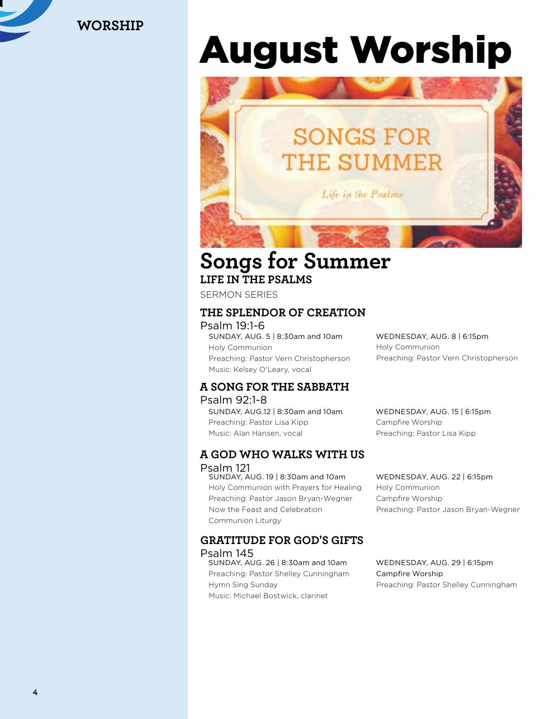

**WORSHIP**

# August Worship



# **Songs for Summer LIFE IN THE PSALMS**

SERMON SERIES

#### **THE SPLENDOR OF CREATION**

Psalm 19:1-6 SUNDAY, AUG. 5 | 8:30am and 10am Holy Communion Preaching: Pastor Vern Christopherson Music: Kelsey O'Leary, vocal

### **A SONG FOR THE SABBATH**

#### Psalm 92:1-8 SUNDAY, AUG.12 | 8:30am and 10am Preaching: Pastor Lisa Kipp Music: Alan Hansen, vocal

#### **A GOD WHO WALKS WITH US** Psalm 121

SUNDAY, AUG. 19 | 8:30am and 10am Holy Communion with Prayers for Healing Preaching: Pastor Jason Bryan-Wegner Now the Feast and Celebration Communion Liturgy

#### **GRATITUDE FOR GOD'S GIFTS** Psalm 145

SUNDAY, AUG. 26 | 8:30am and 10am Preaching: Pastor Shelley Cunningham Hymn Sing Sunday Music: Michael Bostwick, clarinet

WEDNESDAY, AUG. 8 | 6:15pm Holy Communion Preaching: Pastor Vern Christopherson

WEDNESDAY, AUG. 15 | 6:15pm Campfire Worship Preaching: Pastor Lisa Kipp

WEDNESDAY, AUG. 22 | 6:15pm Holy Communion Campfire Worship Preaching: Pastor Jason Bryan-Wegner

WEDNESDAY, AUG. 29 | 6:15pm Campfire Worship Preaching: Pastor Shelley Cunningham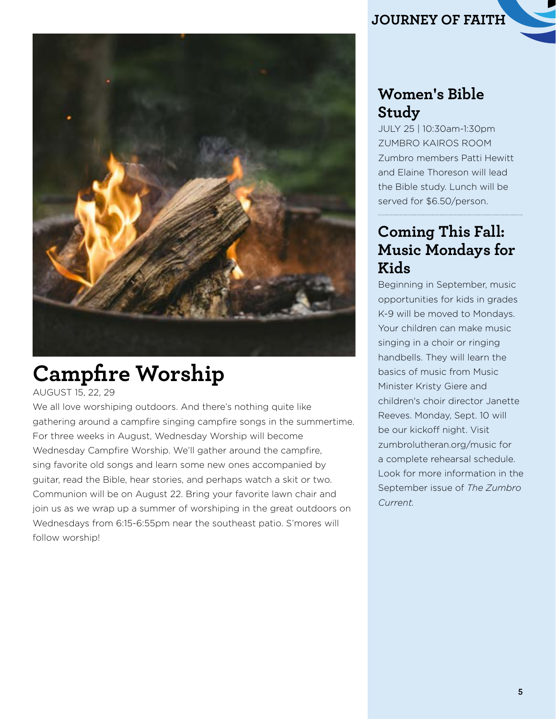

# **Campfire Worship**

AUGUST 15, 22, 29

We all love worshiping outdoors. And there's nothing quite like gathering around a campfire singing campfire songs in the summertime. For three weeks in August, Wednesday Worship will become Wednesday Campfire Worship. We'll gather around the campfire, sing favorite old songs and learn some new ones accompanied by guitar, read the Bible, hear stories, and perhaps watch a skit or two. Communion will be on August 22. Bring your favorite lawn chair and join us as we wrap up a summer of worshiping in the great outdoors on Wednesdays from 6:15-6:55pm near the southeast patio. S'mores will follow worship!

# **JOURNEY OF FAITH**

# **Women's Bible Study**

JULY 25 | 10:30am-1:30pm ZUMBRO KAIROS ROOM Zumbro members Patti Hewitt and Elaine Thoreson will lead the Bible study. Lunch will be served for \$6.50/person.

# **Coming This Fall: Music Mondays for Kids**

Beginning in September, music opportunities for kids in grades K-9 will be moved to Mondays. Your children can make music singing in a choir or ringing handbells. They will learn the basics of music from Music Minister Kristy Giere and children's choir director Janette Reeves. Monday, Sept. 10 will be our kickoff night. Visit zumbrolutheran.org/music for a complete rehearsal schedule. Look for more information in the September issue of *The Zumbro Current.*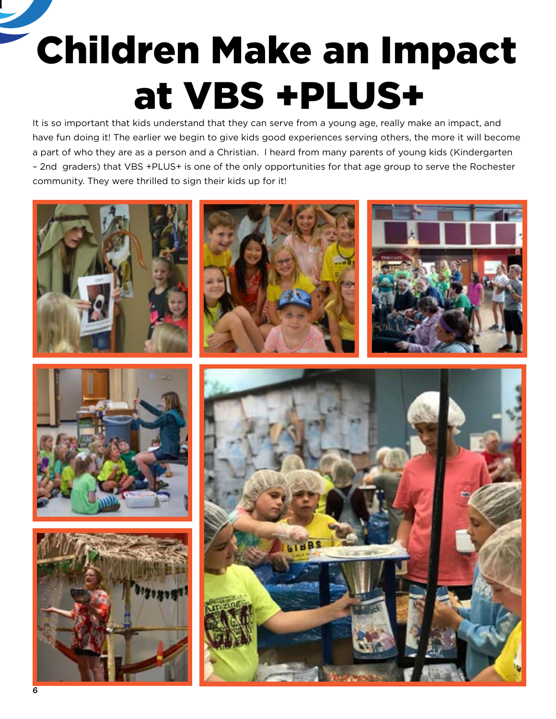Children Make an Impact at VBS +PLUS+

It is so important that kids understand that they can serve from a young age, really make an impact, and have fun doing it! The earlier we begin to give kids good experiences serving others, the more it will become a part of who they are as a person and a Christian. I heard from many parents of young kids (Kindergarten – 2nd graders) that VBS +PLUS+ is one of the only opportunities for that age group to serve the Rochester community. They were thrilled to sign their kids up for it!

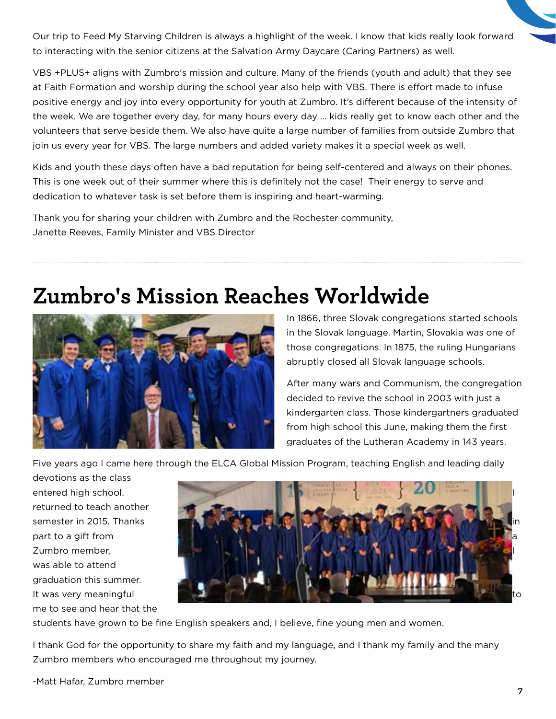Our trip to Feed My Starving Children is always a highlight of the week. I know that kids really look forward to interacting with the senior citizens at the Salvation Army Daycare (Caring Partners) as well.

VBS +PLUS+ aligns with Zumbro's mission and culture. Many of the friends (youth and adult) that they see at Faith Formation and worship during the school year also help with VBS. There is effort made to infuse positive energy and joy into every opportunity for youth at Zumbro. It's different because of the intensity of the week. We are together every day, for many hours every day … kids really get to know each other and the volunteers that serve beside them. We also have quite a large number of families from outside Zumbro that join us every year for VBS. The large numbers and added variety makes it a special week as well.

Kids and youth these days often have a bad reputation for being self-centered and always on their phones. This is one week out of their summer where this is definitely not the case! Their energy to serve and dedication to whatever task is set before them is inspiring and heart-warming.

Thank you for sharing your children with Zumbro and the Rochester community, Janette Reeves, Family Minister and VBS Director

# **Zumbro's Mission Reaches Worldwide**



In 1866, three Slovak congregations started schools in the Slovak language. Martin, Slovakia was one of those congregations. In 1875, the ruling Hungarians abruptly closed all Slovak language schools.

After many wars and Communism, the congregation decided to revive the school in 2003 with just a kindergarten class. Those kindergartners graduated from high school this June, making them the first graduates of the Lutheran Academy in 143 years.

Five years ago I came here through the ELCA Global Mission Program, teaching English and leading daily

devotions as the class entered high school. returned to teach another semester in 2015. Thanks part to a gift from Zumbro member, was able to attend graduation this summer. It was very meaningful me to see and hear that the



students have grown to be fine English speakers and, I believe, fine young men and women.

I thank God for the opportunity to share my faith and my language, and I thank my family and the many Zumbro members who encouraged me throughout my journey.

-Matt Hafar, Zumbro member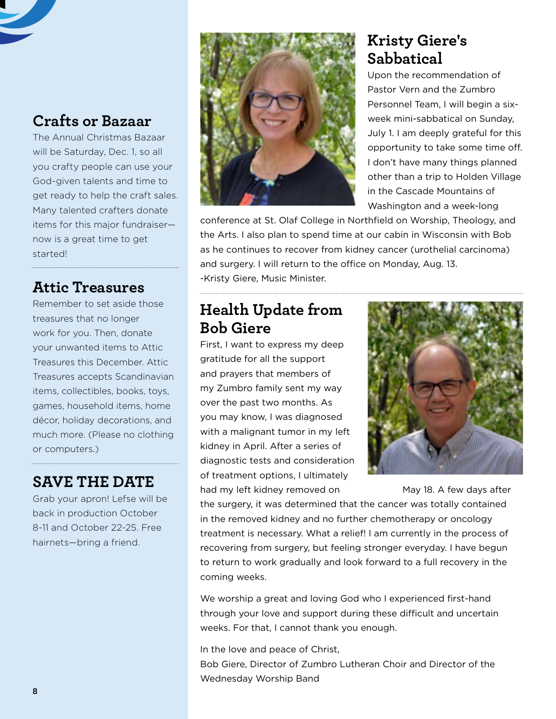# **Crafts or Bazaar**

The Annual Christmas Bazaar will be Saturday, Dec. 1, so all you crafty people can use your God-given talents and time to get ready to help the craft sales. Many talented crafters donate items for this major fundraiser now is a great time to get started!

### **Attic Treasures**

Remember to set aside those treasures that no longer work for you. Then, donate your unwanted items to Attic Treasures this December. Attic Treasures accepts Scandinavian items, collectibles, books, toys, games, household items, home décor, holiday decorations, and much more. (Please no clothing or computers.)

### **SAVE THE DATE**

Grab your apron! Lefse will be back in production October 8-11 and October 22-25. Free hairnets—bring a friend.



# **Kristy Giere's Sabbatical**

Upon the recommendation of Pastor Vern and the Zumbro Personnel Team, I will begin a sixweek mini-sabbatical on Sunday, July 1. I am deeply grateful for this opportunity to take some time off. I don't have many things planned other than a trip to Holden Village in the Cascade Mountains of Washington and a week-long

conference at St. Olaf College in Northfield on Worship, Theology, and the Arts. I also plan to spend time at our cabin in Wisconsin with Bob as he continues to recover from kidney cancer (urothelial carcinoma) and surgery. I will return to the office on Monday, Aug. 13. -Kristy Giere, Music Minister.

# **Health Update from Bob Giere**

First, I want to express my deep gratitude for all the support and prayers that members of my Zumbro family sent my way over the past two months. As you may know, I was diagnosed with a malignant tumor in my left kidney in April. After a series of diagnostic tests and consideration of treatment options, I ultimately had my left kidney removed on May 18. A few days after



the surgery, it was determined that the cancer was totally contained in the removed kidney and no further chemotherapy or oncology treatment is necessary. What a relief! I am currently in the process of recovering from surgery, but feeling stronger everyday. I have begun to return to work gradually and look forward to a full recovery in the coming weeks.

We worship a great and loving God who I experienced first-hand through your love and support during these difficult and uncertain weeks. For that, I cannot thank you enough.

In the love and peace of Christ, Bob Giere, Director of Zumbro Lutheran Choir and Director of the Wednesday Worship Band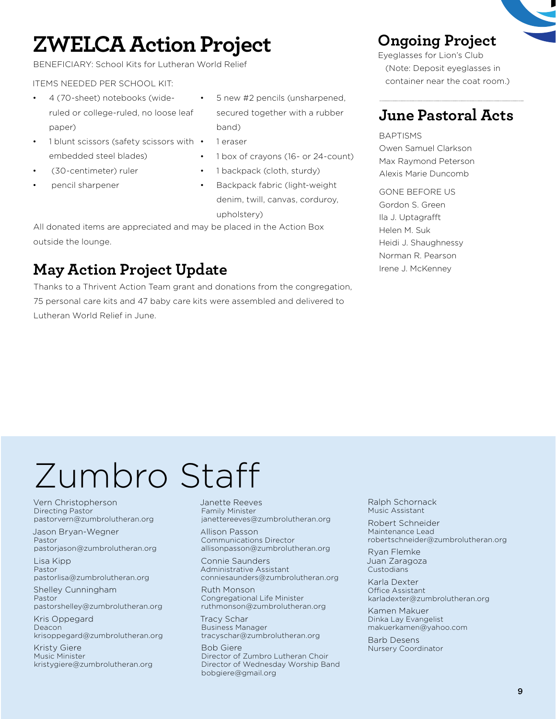# **ZWELCA Action Project**

BENEFICIARY: School Kits for Lutheran World Relief

#### ITEMS NEEDED PER SCHOOL KIT:

- 4 (70-sheet) notebooks (wideruled or college-ruled, no loose leaf paper)
- 1 blunt scissors (safety scissors with embedded steel blades)
- (30-centimeter) ruler
- pencil sharpener
- 5 new #2 pencils (unsharpened, secured together with a rubber band)
- 1 eraser
- 1 box of crayons (16- or 24-count)
- 1 backpack (cloth, sturdy)
- Backpack fabric (light-weight denim, twill, canvas, corduroy, upholstery)

All donated items are appreciated and may be placed in the Action Box outside the lounge.

# **May Action Project Update**

Thanks to a Thrivent Action Team grant and donations from the congregation, 75 personal care kits and 47 baby care kits were assembled and delivered to Lutheran World Relief in June.

### **Ongoing Project**

Eyeglasses for Lion's Club (Note: Deposit eyeglasses in container near the coat room.)

# **June Pastoral Acts**

#### BAPTISMS Owen Samuel Clarkson Max Raymond Peterson Alexis Marie Duncomb

GONE BEFORE US Gordon S. Green Ila J. Uptagrafft Helen M. Suk Heidi J. Shaughnessy Norman R. Pearson Irene J. McKenney

# Zumbro Staff

Vern Christopherson Directing Pastor pastorvern@zumbrolutheran.org

Jason Bryan-Wegner Pastor pastorjason@zumbrolutheran.org

Lisa Kipp Pastor pastorlisa@zumbrolutheran.org

Shelley Cunningham Pastor pastorshelley@zumbrolutheran.org

Kris Oppegard Deacon krisoppegard@zumbrolutheran.org

Kristy Giere Music Minister kristygiere@zumbrolutheran.org Janette Reeves Family Minister janettereeves@zumbrolutheran.org

Allison Passon Communications Director allisonpasson@zumbrolutheran.org

Connie Saunders Administrative Assistant conniesaunders@zumbrolutheran.org

Ruth Monson Congregational Life Minister ruthmonson@zumbrolutheran.org

Tracy Schar Business Manager tracyschar@zumbrolutheran.org

Bob Giere Director of Zumbro Lutheran Choir Director of Wednesday Worship Band bobgiere@gmail.org

Ralph Schornack Music Assistant

Robert Schneider Maintenance Lead robertschneider@zumbrolutheran.org

Ryan Flemke Juan Zaragoza Custodians

Karla Dexter Office Assistant karladexter@zumbrolutheran.org

Kamen Makuer Dinka Lay Evangelist makuerkamen@yahoo.com

Barb Desens Nursery Coordinator